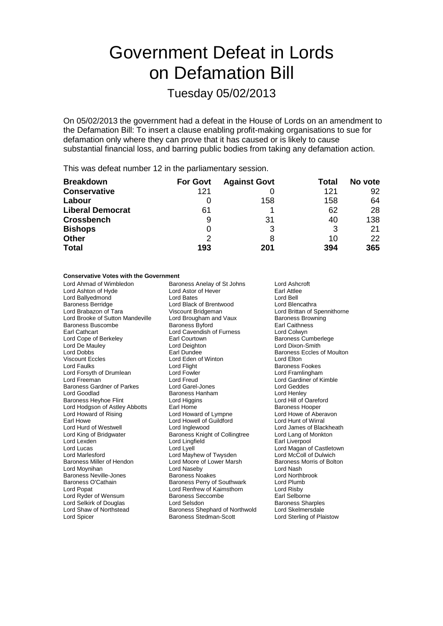# Government Defeat in Lords on Defamation Bill

Tuesday 05/02/2013

On 05/02/2013 the government had a defeat in the House of Lords on an amendment to the Defamation Bill: To insert a clause enabling profit-making organisations to sue for defamation only where they can prove that it has caused or is likely to cause substantial financial loss, and barring public bodies from taking any defamation action.

This was defeat number 12 in the parliamentary session.

| <b>Breakdown</b>        | <b>For Govt</b> | <b>Against Govt</b> | Total | No vote |
|-------------------------|-----------------|---------------------|-------|---------|
| <b>Conservative</b>     | 121             |                     | 121   | 92      |
| Labour                  |                 | 158                 | 158   | 64      |
| <b>Liberal Democrat</b> | 61              |                     | 62    | 28      |
| <b>Crossbench</b>       | 9               | 31                  | 40    | 138     |
| <b>Bishops</b>          | 0               | 3                   | 3     | 21      |
| <b>Other</b>            | 2               | 8                   | 10    | 22      |
| <b>Total</b>            | 193             | 201                 | 394   | 365     |

#### **Conservative Votes with the Government**

Lord Ahmad of Wimbledon **Baroness Anelay of St Johns** Lord Ashcroft<br>
Lord Ashton of Hyde **Lord Astor of Hever** Earl Attlee Lord Ashton of Hyde Lord Astor of Hever Earl Attlee Lord Ballyedmond Lord Bates Lord Bell Baroness Berridge **Lord Black of Brentwood**<br>
Lord Brabazon of Tara **Microsoft Contains Container Container** Viscount Bridgeman Lord Brooke of Sutton Mandeville Lord Brougham and Vaux Baroness Brow<br>Baroness Buscombe Baroness Byford Baroness By Rarl Caithness Baroness Buscombe **Baroness Byford** Earl Caithnes<br>
Earl Cathcart **Earl Cathcart** Lord Cavendish of Furness **Earl Cathcart** Earl Cathcart **Lord Cavendish of Furness**<br>
Lord Cope of Berkeley **Lord Cavendish of Furness** Lord Cope of Berkeley **Earl Courtown** Earl Courtown Baroness Cumberlege<br>
Lord De Mauley **Earl Courtown** Earl Courtown Baroness Cumberlege Lord De Mauley Lord Deighton Lord Dixon-Smith Lord Dobbs **Earl Dundee** Earl Dundee **Baroness Eccles of Moulton**<br>
Viscount Eccles **Earl Baroness** Lord Eden of Winton **Example 1** Lord Elton Viscount Eccles<br>
Lord Eaulks<br>
Lord Flight<br>
Lord Flight Lord Forsyth of Drumlean Lord Fowler Lord Fowler<br>
Lord Freeman Lord Creud Baroness Gardner of Parkes Lord Garel-Jones Lord Geddes<br>
Lord Goodlad Baroness Hanham Lord Henley<br>
Baroness Heyhoe Flint Lord Higgins Lord Hill of Oareford Lord Goodlad Baroness Hanham<br>Baroness Heyhoe Flint **Baroness Hanham** Baroness Heyhoe Flint Lord Higgins Lord Hold Hill of Oareform Cord Hill of Oareform Lord Hill of Oareform Lord Hill of Oareform Cord Hill of Oareform Lord Hill of Oareform Lord Hill of Oareform Lord Hill of Oareform Lord H Lord Hodgson of Astley Abbotts Earl Home<br>
Lord Howard of Rising 
Lord Howard of Lympne
Lord Howe of Aberavon Lord Howard of Rising Lord Howard of Lympne Earl Howe Lord Howell of Guildford Lord Hunt of Wirral<br>
Lord Hurd of Westwell Lord Inglewood Lord Lord James of Blac Lord Hurd of Westwell **Lord Inglewood** Lord Lord James of Blackheath<br>
Lord King of Bridgwater **Lord Lord Lord Lord Lang of Monkton** Lord Lexden **Lord Lingfield Earl Liverpool** Lord Lucas Lord Lyell Lord Magan of Castletown Lord Marlesford Lord Mayhew of Twysden Lord McColl of Dulwich<br>Baroness Miller of Hendon Lord Moore of Lower Marsh Baroness Morris of Bolton Lord Moynihan **Lord Communist Communist Communist Communist Communist Communist Communist Communist Communist Communist Communist Communist Communist Communist Communist Communist Communist Communist Communist Communist Co** Baroness Neville-Jones **Baroness Noakes** Lord Northbrooks Noakes Lord Northbrooks Noakes Lord Plumb<br>Baroness O'Cathain **Baroness Perry of Southwark** Lord Plumb Baroness O'Cathain **Baroness Perry of Southwark** Lord Plumb<br>Lord Poper Lord Rishy<br>Lord Rishy Lord Ryder of Wensum Baroness Seccombe<br>
Lord Selshirk of Douglas<br>
Lord Selsdon Baroness Sharples Lord Selkirk of Douglas Lord Selsdon Baroness Sharples<br>
Lord Shaw of Northstead Baroness Shephard of Northwold Lord Skelmersdale Lord Spicer **Baroness Stedman-Scott** Lord Sterling of Plaistow

Viscount Bridgeman **Lord Brittan of Spennithorne**<br>
Lord Brougham and Vaux Baroness Browning Lord Flight **Exercise Exercise School** Baroness Fookes<br>1991 Lord Framlingham Lord Freud Lord Gardiner of Kimble<br>
Lord Garel-Jones<br>
Lord Geddes Baroness Knight of Collingtree Lord Moore of Lower Marsh Lord Renfrew of Kaimsthorn Baroness Shephard of Northwold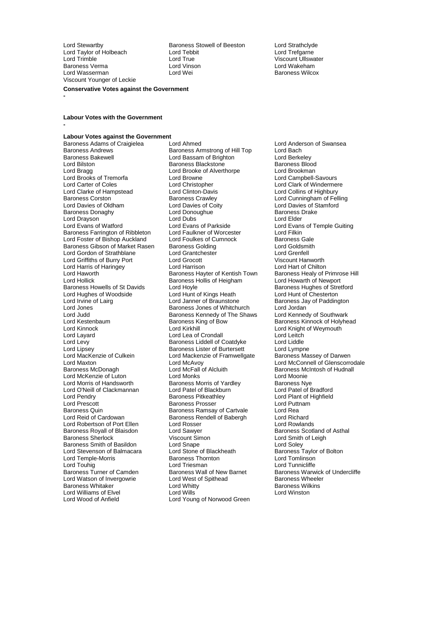Lord Taylor of Holbeach Lord Tebb<br>Lord Trimble Lord True **Lord Wasserman** Viscount Younger of Leckie

Lord Stewartby **Baroness Stowell of Beeston** Lord Strathclyde<br>
Lord Taylor of Holbeach **Lord Tebbit** Lord Tebbit Lord Trefgarne Lord Trimble Lord True Viscount Ullswater Baroness Verma Lord Vinson Lord Wakeham

**Conservative Votes against the Government**

#### **-**

**-**

#### **Labour Votes with the Government**

## **Labour Votes against the Government**

Baroness Andrews **Baroness Armstrong of Hill Top** Lord Bach<br>Baroness Bakewell **Bach Lord Bassam of Brighton** Lord Berkelev Baroness Bakewell **Research Lord Bassam of Brighton** Cord Berkeley<br>
Lord Bilston **Cord Baroness Blackstone** Baroness Blood Lord Carter of Coles<br>
Lord Christopher Lord Clark of Windermere<br>
Lord Clark of Highbury<br>
Lord Clark of Highbury Baroness Corston **Baroness Crawley** Baroness Crawley **Lord Cunningham of Felling**<br>
Lord Davies of Oldham Lord Davies of Coity **Lord Davies of Stamford** Lord Davies of Oldham Lord Davies of Coity<br>
Lord Davies of Stamford Lord Davies of Coity<br>
Lord Donoughue<br>
Baroness Drake Lord Drayson<br>
Lord Evans of Watford<br>
Lord Evans of Watford<br>
Lord Evans of Parkside Baroness Farrington of Ribbleton Lord Faulkner of Worcester Lord Filkin Lord Foster of Bishop Auckland Lord Foulkes of Cumnock Baroness Gale<br>Baroness Gibson of Market Rasen Baroness Golding Coldsmith Lord Gordon of Strathblane Lord Grantchester Lord Grenfell Lord Griffiths of Burry Port Lord Grocott Viscount Hanworth Lord Harris of Haringey Lord Harrison Lord Hart of Chilton Lord Haworth **Baroness Hayter of Kentish Town** Baroness Healy of Primrose Healy of Primrose Hollick Baroness Hollis of Heigham Lord Howarth of Newport Lord Hollick **Baroness Hollis of Heigham**<br>Baroness Howells of St Davids **Contains Lord Hovle** Lord Hughes of Woodside Lord Hunt of Kings Heath<br>
Lord Irvine of Lairg<br>
Lord Janner of Braunstone Lord Irvine of Lairg Lord Janner of Braunstone Baroness Jay of Paddington<br>Lord Jones Jones Jones of Whitehurch Lord Jordan Lord Jones The Baroness Jones of Whitchurch Lord Jordan<br>Lord Judd Baroness Kennedy of The Shaws Lord Kennedy of Southwark Lord Judd Baroness Kennedy of The Shaws Lord Kennedy of Southwark Lord Kestenbaum Baroness King of Bow Baroness Kinnock of Holyhead Lord Layard Lord Lord Lea of Crondall Lord Lea of Crondall Lord Leitch<br>
Lord Levy Conduction Baroness Liddell of Coatdyke Lord Liddle Lord Levy **Baroness Liddell of Coatdyke** Lord Liddle<br>
Lord Lipsey **Baroness Lister of Burtersett** Lord Lympne Lord Lipsey<br>
Lord Lipsey Collkein Baroness Lister of Burtersett Lord Lympne<br>
Lord MacKenzie of Culkein Lord Mackenzie of Framwellgate Baroness Massey of Darwen Lord MacKenzie of Culkein Lord Mackenzie of Framwellgate<br>Lord Maxton Lord McAvoy Lord Maxton Lord McAvoy Lord McAvoy Lord McConnell of Glenscorrodale<br>
Baroness McDonagh Lord McFall of Alcluith Baroness McIntosh of Hudnall Lord McKenzie of Luton **Lord Monks** Lord Moonie<br>
Lord Morris of Handsworth **Baroness Morris of Yardley** Baroness Nye Lord Morris of Handsworth **Baroness Morris of Yardley** Baroness Nye<br>
Lord O'Neill of Clackmannan **Baroness Morris of Blackburn** Baroness Nye Lord O'Neill of Clackmannan Lord Patel of Blackburn<br>Lord Pendry Clackmannan Baroness Pitkeathley Lord Pendry **Communist Communist Communist Person** Baroness Pitkeathley **Communist Communist Communist Communist Communist Communist Communist Communist Communist Communist Communist Communist Communist Communist Communist** Lord Prescott Baroness Prosser Lord Puttnam Baroness Quin **Baroness Ramsay of Cartvale** Carto Lord Rea<br>
Lord Reid of Cardowan **Baroness Rendell of Babergh** Lord Richard Lord Robertson of Port Ellen Lord Rosser<br>Baroness Royall of Blaisdon Lord Sawyer Baroness Royall of Blaisdon<br>
Baroness Scotland of Asthal<br>
Baroness Scotland of Asthal<br>
Lord Smith of Leigh Baroness Smith of Basildon<br>
Lord Stevenson of Balmacara<br>
Lord Stone of Blackheath Lord Stevenson of Balmacara Lord Stone of Blackheath Baroness Taylor Baroness Taylor Cord Tomlinson Lord Temple-Morris Baroness Thornton Lord Tomlinson Lord Touhig<br>Baroness Turner of Camden Baroness Wall of New Barnet Lord Watson of Invergowrie **Lord West of Spithead** Baroness Wheele<br>Baroness Whitaker **Communist Club Accelerate Communist Club** Baroness Wilkins Lord Williams of Elvel<br>Lord Wood of Anfield

Baroness Adams of Craigielea Lord Ahmed<br>
Baroness Andrews Baroness Armstrong of Hill Top Lord Bach<br>
Lord Bach Baroness Blackstone **Baroness Blood**<br> **Lord Brooke of Alverthorpe Baroness Blood** Lord Bragg Lord Brooke of Alverthorpe Lord Brookman Lord Brooks of Tremorfa Lord Browne Lord Campbell-Savours Lord Clarke of Hampstead Lord Clinton-Davis Lord Collins of Highbury<br>
Baroness Corston Collins of Fell<br>
Baroness Crawley Carel Lord Cunningham of Fell Lord Donoughue Baroness I<br>
Lord Dubs<br>
Lord Elder Lord Evans of Parkside<br>
Lord Eaulkner of Worcester<br>
Lord Elikin<br>
Lord Elikin Baroness Gibson of Market Rasen baroness Golding The State Coldsmit Lord Goldsmit<br>Lord Gordon of Strathblane Lord Grant Lord Grantell Lord Grenfell Lord Hoyle<br>
Lord Hunt of Kings Heath<br>
Lord Hunt of Chesterton Lord McFall of Alcluith Baroness McIntosh of Hudnall<br>
Lord Monks<br>
Lord Moonie Baroness Rendell of Babergh Lord Richard<br>
Lord Rosser Cord Rowlands Viscount Simon Lord Smith of Leigh<br>
Lord Snape Lord Soley<br>
Lord Stone of Blackheath Baroness Taylor of Bolton Baroness Wall of New Barnet Baroness Warwick of Undercliffe<br>
Lord West of Spithead Baroness Wheeler Baroness Whitaker **Communist Construction Construction**<br>
Lord Williams of Elvel **Communist Construction Communist Construction**<br>
Lord Williams of Elvel **Communist Communist Communist Communist Communist Communist Communist** Lord Young of Norwood Green

Lord Knight of Weymouth<br>Lord Leitch